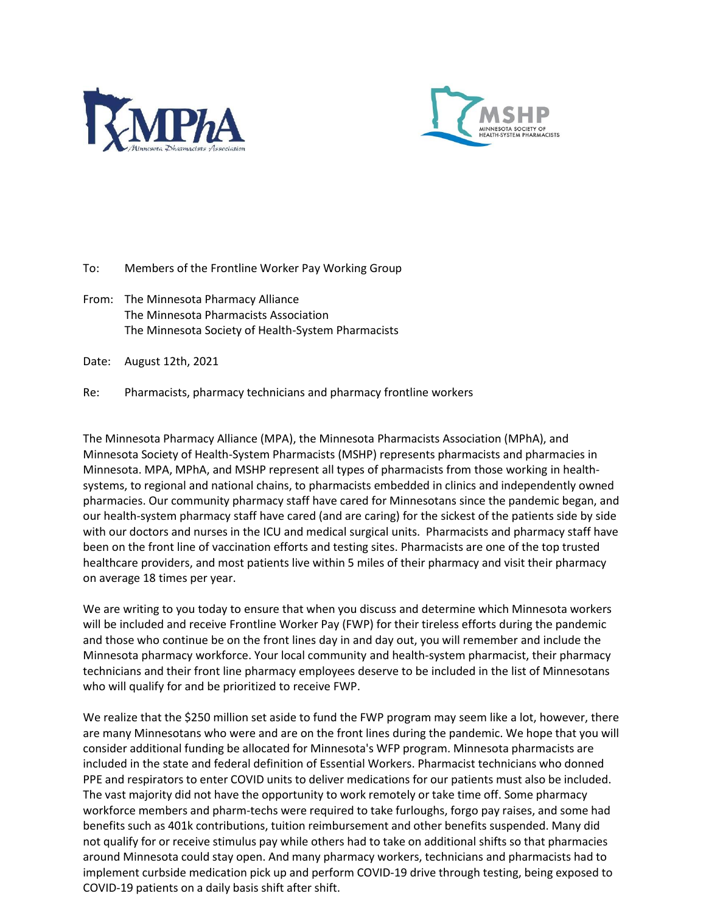



To: Members of the Frontline Worker Pay Working Group

From: The Minnesota Pharmacy Alliance The Minnesota Pharmacists Association The Minnesota Society of Health-System Pharmacists

Date: August 12th, 2021

Re: Pharmacists, pharmacy technicians and pharmacy frontline workers

The Minnesota Pharmacy Alliance (MPA), the Minnesota Pharmacists Association (MPhA), and Minnesota Society of Health-System Pharmacists (MSHP) represents pharmacists and pharmacies in Minnesota. MPA, MPhA, and MSHP represent all types of pharmacists from those working in healthsystems, to regional and national chains, to pharmacists embedded in clinics and independently owned pharmacies. Our community pharmacy staff have cared for Minnesotans since the pandemic began, and our health-system pharmacy staff have cared (and are caring) for the sickest of the patients side by side with our doctors and nurses in the ICU and medical surgical units. Pharmacists and pharmacy staff have been on the front line of vaccination efforts and testing sites. Pharmacists are one of the top trusted healthcare providers, and most patients live within 5 miles of their pharmacy and visit their pharmacy on average 18 times per year.

We are writing to you today to ensure that when you discuss and determine which Minnesota workers will be included and receive Frontline Worker Pay (FWP) for their tireless efforts during the pandemic and those who continue be on the front lines day in and day out, you will remember and include the Minnesota pharmacy workforce. Your local community and health-system pharmacist, their pharmacy technicians and their front line pharmacy employees deserve to be included in the list of Minnesotans who will qualify for and be prioritized to receive FWP.

We realize that the \$250 million set aside to fund the FWP program may seem like a lot, however, there are many Minnesotans who were and are on the front lines during the pandemic. We hope that you will consider additional funding be allocated for Minnesota's WFP program. Minnesota pharmacists are included in the state and federal definition of Essential Workers. Pharmacist technicians who donned PPE and respirators to enter COVID units to deliver medications for our patients must also be included. The vast majority did not have the opportunity to work remotely or take time off. Some pharmacy workforce members and pharm-techs were required to take furloughs, forgo pay raises, and some had benefits such as 401k contributions, tuition reimbursement and other benefits suspended. Many did not qualify for or receive stimulus pay while others had to take on additional shifts so that pharmacies around Minnesota could stay open. And many pharmacy workers, technicians and pharmacists had to implement curbside medication pick up and perform COVID-19 drive through testing, being exposed to COVID-19 patients on a daily basis shift after shift.